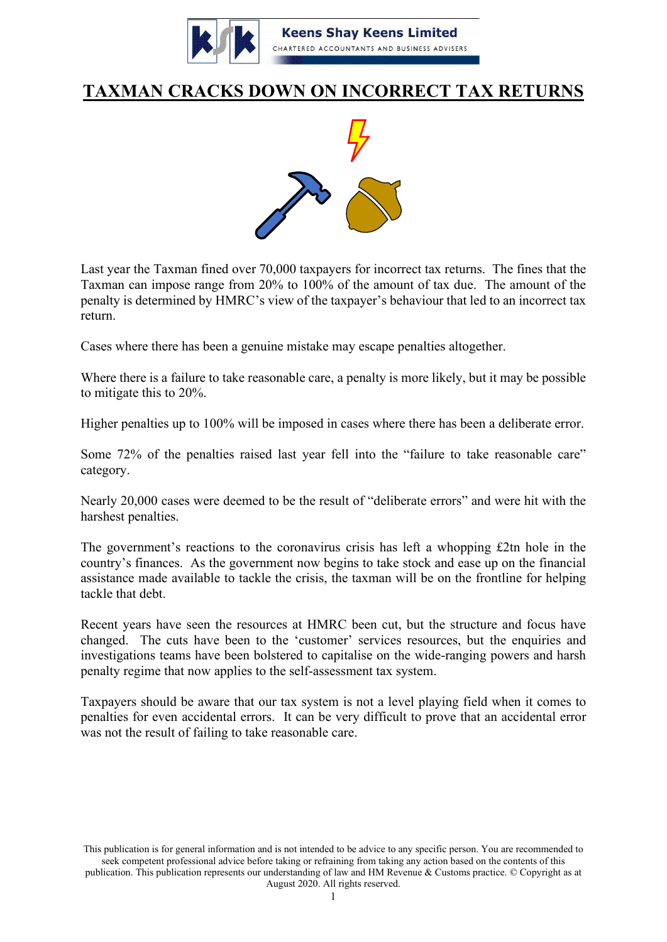

## **TAXMAN CRACKS DOWN ON INCORRECT TAX RETURNS**



Last year the Taxman fined over 70,000 taxpayers for incorrect tax returns. The fines that the Taxman can impose range from 20% to 100% of the amount of tax due. The amount of the penalty is determined by HMRC's view of the taxpayer's behaviour that led to an incorrect tax return.

Cases where there has been a genuine mistake may escape penalties altogether.

Where there is a failure to take reasonable care, a penalty is more likely, but it may be possible to mitigate this to 20%.

Higher penalties up to 100% will be imposed in cases where there has been a deliberate error.

Some 72% of the penalties raised last year fell into the "failure to take reasonable care" category.

Nearly 20,000 cases were deemed to be the result of "deliberate errors" and were hit with the harshest penalties.

The government's reactions to the coronavirus crisis has left a whopping £2tn hole in the country's finances. As the government now begins to take stock and ease up on the financial assistance made available to tackle the crisis, the taxman will be on the frontline for helping tackle that debt.

Recent years have seen the resources at HMRC been cut, but the structure and focus have changed. The cuts have been to the 'customer' services resources, but the enquiries and investigations teams have been bolstered to capitalise on the wide-ranging powers and harsh penalty regime that now applies to the self-assessment tax system.

Taxpayers should be aware that our tax system is not a level playing field when it comes to penalties for even accidental errors. It can be very difficult to prove that an accidental error was not the result of failing to take reasonable care.

This publication is for general information and is not intended to be advice to any specific person. You are recommended to seek competent professional advice before taking or refraining from taking any action based on the contents of this publication. This publication represents our understanding of law and HM Revenue & Customs practice. © Copyright as at August 2020. All rights reserved.